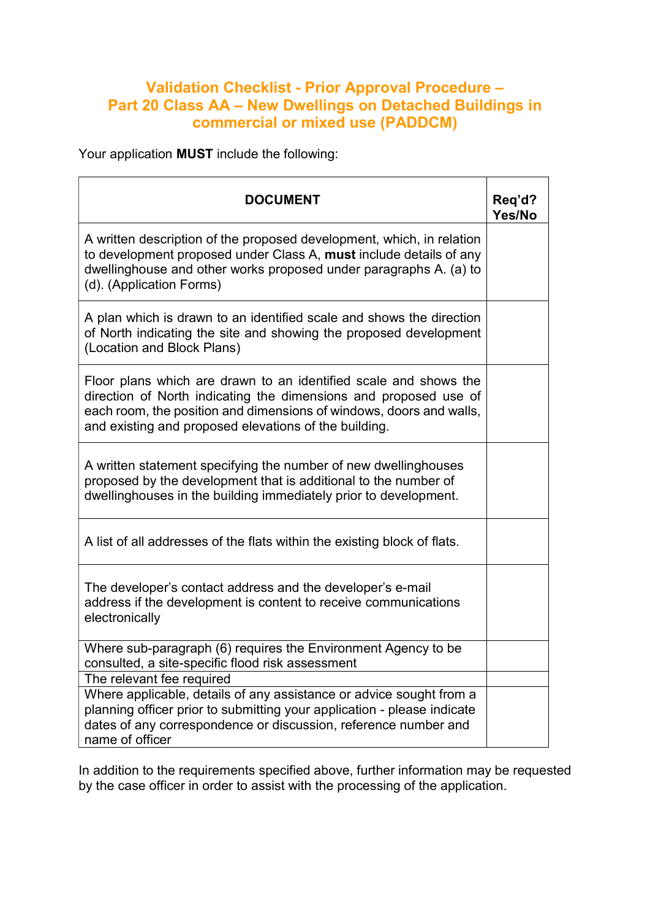## Validation Checklist - Prior Approval Procedure – Part 20 Class AA – New Dwellings on Detached Buildings in commercial or mixed use (PADDCM)

Your application MUST include the following:

| <b>DOCUMENT</b>                                                                                                                                                                                                                                                      | Req'd?<br>Yes/No |
|----------------------------------------------------------------------------------------------------------------------------------------------------------------------------------------------------------------------------------------------------------------------|------------------|
| A written description of the proposed development, which, in relation<br>to development proposed under Class A, must include details of any<br>dwellinghouse and other works proposed under paragraphs A. (a) to<br>(d). (Application Forms)                         |                  |
| A plan which is drawn to an identified scale and shows the direction<br>of North indicating the site and showing the proposed development<br>(Location and Block Plans)                                                                                              |                  |
| Floor plans which are drawn to an identified scale and shows the<br>direction of North indicating the dimensions and proposed use of<br>each room, the position and dimensions of windows, doors and walls,<br>and existing and proposed elevations of the building. |                  |
| A written statement specifying the number of new dwellinghouses<br>proposed by the development that is additional to the number of<br>dwellinghouses in the building immediately prior to development.                                                               |                  |
| A list of all addresses of the flats within the existing block of flats.                                                                                                                                                                                             |                  |
| The developer's contact address and the developer's e-mail<br>address if the development is content to receive communications<br>electronically                                                                                                                      |                  |
| Where sub-paragraph (6) requires the Environment Agency to be<br>consulted, a site-specific flood risk assessment                                                                                                                                                    |                  |
| The relevant fee required                                                                                                                                                                                                                                            |                  |
| Where applicable, details of any assistance or advice sought from a<br>planning officer prior to submitting your application - please indicate<br>dates of any correspondence or discussion, reference number and<br>name of officer                                 |                  |

In addition to the requirements specified above, further information may be requested by the case officer in order to assist with the processing of the application.